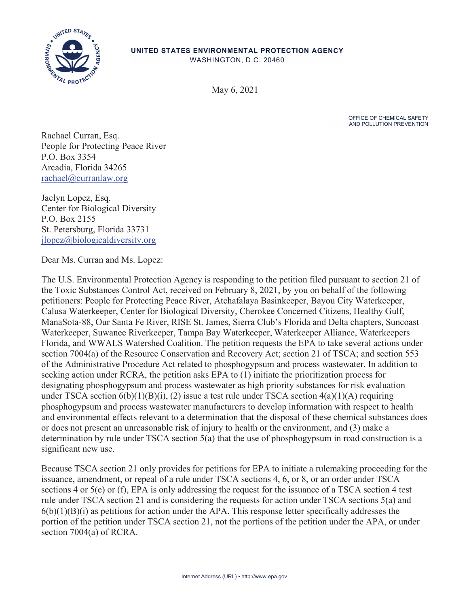

## **UNITED STATES ENVIRONMENTAL PROTECTION AGENCY**

WASHINGTON, D.C. 20460

May 6, 2021

OFFICE OF CHEMICAL SAFETY AND POLLUTION PREVENTION

Rachael Curran, Esq. People for Protecting Peace River P.O. Box 3354 Arcadia, Florida 34265 rachael@curranlaw.org

Jaclyn Lopez, Esq. Center for Biological Diversity P.O. Box 2155 St. Petersburg, Florida 33731 jlopez@biologicaldiversity.org

Dear Ms. Curran and Ms. Lopez:

The U.S. Environmental Protection Agency is responding to the petition filed pursuant to section 21 of the Toxic Substances Control Act, received on February 8, 2021, by you on behalf of the following petitioners: People for Protecting Peace River, Atchafalaya Basinkeeper, Bayou City Waterkeeper, Calusa Waterkeeper, Center for Biological Diversity, Cherokee Concerned Citizens, Healthy Gulf, ManaSota-88, Our Santa Fe River, RISE St. James, Sierra Club's Florida and Delta chapters, Suncoast Waterkeeper, Suwanee Riverkeeper, Tampa Bay Waterkeeper, Waterkeeper Alliance, Waterkeepers Florida, and WWALS Watershed Coalition. The petition requests the EPA to take several actions under section 7004(a) of the Resource Conservation and Recovery Act; section 21 of TSCA; and section 553 of the Administrative Procedure Act related to phosphogypsum and process wastewater. In addition to seeking action under RCRA, the petition asks EPA to (1) initiate the prioritization process for designating phosphogypsum and process wastewater as high priority substances for risk evaluation under TSCA section  $6(b)(1)(B)(i)$ , (2) issue a test rule under TSCA section  $4(a)(1)(A)$  requiring phosphogypsum and process wastewater manufacturers to develop information with respect to health and environmental effects relevant to a determination that the disposal of these chemical substances does or does not present an unreasonable risk of injury to health or the environment, and (3) make a determination by rule under TSCA section 5(a) that the use of phosphogypsum in road construction is a significant new use.

Because TSCA section 21 only provides for petitions for EPA to initiate a rulemaking proceeding for the issuance, amendment, or repeal of a rule under TSCA sections 4, 6, or 8, or an order under TSCA sections 4 or 5(e) or (f), EPA is only addressing the request for the issuance of a TSCA section 4 test rule under TSCA section 21 and is considering the requests for action under TSCA sections 5(a) and  $6(b)(1)(B)(i)$  as petitions for action under the APA. This response letter specifically addresses the portion of the petition under TSCA section 21, not the portions of the petition under the APA, or under section 7004(a) of RCRA.